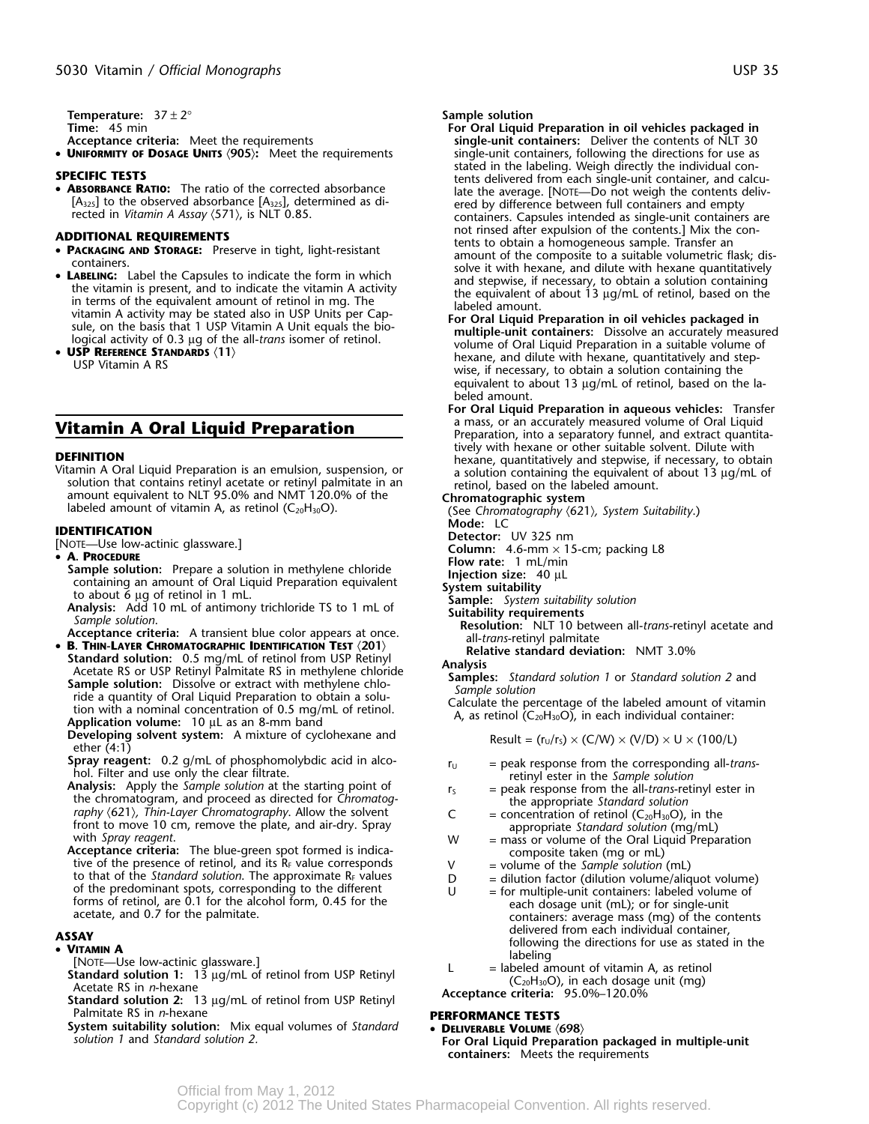**Temperature:**  $37 \pm 2^{\circ}$ <br> **Time:** 45 min<br> **Time:** 45 min

- 
- UNIFORMITY OF DOSAGE UNITS (905): Meet the requirements

• ABSORBANCE RATIO: The ratio of the corrected absorbance

- 
- LABELING: Label the Capsules to indicate the form in which<br>the vitamin is present, and to indicate the vitamin A activity<br>in terms of the equivalent amount of retinol in mg. The<br>vitamin A activity may be stated also in U
- 

**DEFINITION**<br>
Vitamin A Oral Liquid Preparation is an emulsion, suspension, or<br>
vitamin A Oral Liquid Preparation is an emulsion, suspension, or<br>
solution that contains retinyl acetate or retinyl palmitate in an<br>
a soluti

- 
- 
- A. PROCEDURE<br>
Sample solution: Prepare a solution in methylene chloride<br>
containing an amount of Oral Liquid Preparation equivalent<br>
to about 6 µg of retinol in 1 mL.<br>
Analysis: Add 10 mL of antimony trichloride TS to 1
	-
- 
- **B. THIN-LAYER CHROMATOGRAPHIC IDENTIFICATION TEST**  $\langle 201 \rangle$ <br> **Standard solution:** 0.5 mg/mL of retinol from USP Retinyl<br>
Acetate RS or USP Retinyl Palmitate RS in methylene chloric **Analysis**<br>
Sample solution: 1 or

**Developing solvent system:** A mixture of cyclohexane and  $\text{other (4:1)}$ <br>ether (4:1)<br>**Spray reagent:** 0.2 g/mL of phosphomolybdic acid in alco-<br>**Spray reagent:** 0.2 g/mL of phosphomolybdic acid in alco-<br>**FICE SPRAY**  $\text{re}$ 

- **Spray reagent:** 0.2 g/mL of phosphomolybdic acid in alco-<br>
hol. Filter and use only the clear filtrate.<br> **Analysis:** Apply the *Sample solution* at the starting point of<br>
the chromatogram, and proceed as directed for *Ch*
- raphy (621), Thin-Layer Chromatography. Allow the solvent<br>
front to move 10 cm, remove the plate, and air-dry. Spray<br>
with Spray reagent.<br>
We appropriate Standard solution (mg/mL)<br>
with Spray reagent.<br>
We appropriate Stan

- 
- [NOTE—Use low-actinic glassware.]<br> **Standard solution 1:** 13 µg/mL of retinol from USP Retinyl<br>
Acetate RS in *n*-hexane<br>
Standard solution 2: 13 µg/mL of retinol from USP Retinyl<br>
Standard solution 2: 13 µg/mL of retinol
- Palmitate RS in *n*-hexane **PERFORMANCE TESTS**<br>**System suitability solution:** Mix equal volumes of *Standard* **PERFORMANCE TESTS**
- System suitability solution: Mix equal volumes of Standard **DELIVERABLE VOLUME** (698)<br>Solution 1 and Standard solution 2. **For Oral Liquid Preparation packaged in multiple-unit**

- **Time:** 45 min **For Oral Liquid Preparation in oil vehicles packaged in Acceptance criteria:** Meet the requirements **single-unit containers:** Deliver the contents of NLT 30  $\sin$ gle-unit containers, following the directions for use as **SPECIFIC TESTS**<br>• **ABSORBANCE RATIO:** The ratio of the corrected absorbance **tents delivered from each single-unit container, and calcu-**<br>• **ABSORBANCE RATIO:** The ratio of the corrected absorbance late the average. [NOTE [A<sub>325</sub>] to the observed absorbance [A<sub>325</sub>], determined as diventual preced by difference between full containers and empty<br>rected in Vitamin A Assay (571), is NLT 0.85. not rinsed after expulsion of the contents.] Mix the con-<br>**ADDITIONAL REQUIREMENTS and the contents to obtain a homogeneous sample. Transfer an • <b>PACKAGING AND STORAGE:** Preserve in tight, light-resistant Friendly and Studies. Preserve in ught, interesting and the composite to a suitable volumetric flask; discontainers.<br>
Containers.<br>
Label the Capsules to indicate the form in which the same and dilute with hexane quantitati
- IOGICAL ACTIVITY OF USP IN THE AIR DARDS (11)<br> **USP REFERENCE STANDARDS** (11) **USP REFERENCE STANDARDS** (11) **USP UTE AIR SEPTIES WERENT A RS** Wise, if necessary, to obtain a solution containing the equivalent to about 13 µg/mL of retinol, based on the labeled amount.
- **For Oral Liquid Preparation in aqueous vehicles:** Transfer . **Vitamin A Oral Liquid Preparation** a mass, or an accurately measured volume of Oral Liquid **Vitamin A Oral Liquid**<br>Preparation, into a separatory funnel, and extract quantita-

- 
- 
- **IDENTIFICATION**<br> **IDENTIFICATION**<br> **PAOTE—Use low-actinic glassware.] Column:** 4.6-mm × 15-cm; packing L8<br> **Column:** 4.6-mm × 15-cm; packing L8<br> **Column:** 4.6-mm × 15-cm; packing L8<br> **Column:** 4.6-mm × 15-cm; packing L8
	-
	-
	-
	-
	- - -

- 
- 

- 
- 
- 
- 
- 
- 
- **delivered from each individual container,**<br>• **VITAMIN A FOLLOWING THE FORD STATE CONTAINS TO A STATE OF A STATE OF A STATE OF A STATE OF A STATE OF A STATE OF A STATE OF A STATE OF A STATE OF A STATE OF A STATE OF A STA** 
	-

- 
- **containers:** Meets the requirements